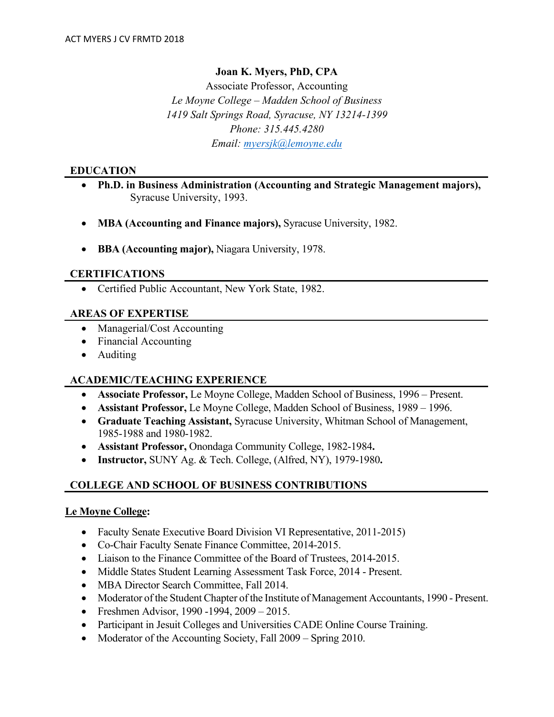### **Joan K. Myers, PhD, CPA**

Associate Professor, Accounting *Le Moyne College – Madden School of Business 1419 Salt Springs Road, Syracuse, NY 13214-1399 Phone: 315.445.4280 Email: [myersjk@lemoyne.edu](mailto:XXXXXXXXXX@lemoyne.edu)*

#### **EDUCATION**

- **Ph.D. in Business Administration (Accounting and Strategic Management majors),**  Syracuse University, 1993.
- **MBA (Accounting and Finance majors),** Syracuse University, 1982.
- **BBA (Accounting major),** Niagara University, 1978.

#### **CERTIFICATIONS**

• Certified Public Accountant, New York State, 1982.

#### **AREAS OF EXPERTISE**

- Managerial/Cost Accounting
- Financial Accounting
- Auditing

#### **ACADEMIC/TEACHING EXPERIENCE**

- **Associate Professor,** Le Moyne College, Madden School of Business, 1996 Present.
- **Assistant Professor,** Le Moyne College, Madden School of Business, 1989 1996.
- **Graduate Teaching Assistant,** Syracuse University, Whitman School of Management, 1985-1988 and 1980-1982.
- **Assistant Professor,** Onondaga Community College, 1982-1984**.**
- **Instructor,** SUNY Ag. & Tech. College, (Alfred, NY), 1979-1980**.**

### **COLLEGE AND SCHOOL OF BUSINESS CONTRIBUTIONS**

#### **Le Moyne College:**

- Faculty Senate Executive Board Division VI Representative, 2011-2015)
- Co-Chair Faculty Senate Finance Committee, 2014-2015.
- Liaison to the Finance Committee of the Board of Trustees, 2014-2015.
- Middle States Student Learning Assessment Task Force, 2014 Present.
- MBA Director Search Committee, Fall 2014.
- Moderator of the Student Chapter of the Institute of Management Accountants, 1990 Present.
- Freshmen Advisor, 1990 -1994, 2009 2015.
- Participant in Jesuit Colleges and Universities CADE Online Course Training.
- Moderator of the Accounting Society, Fall 2009 Spring 2010.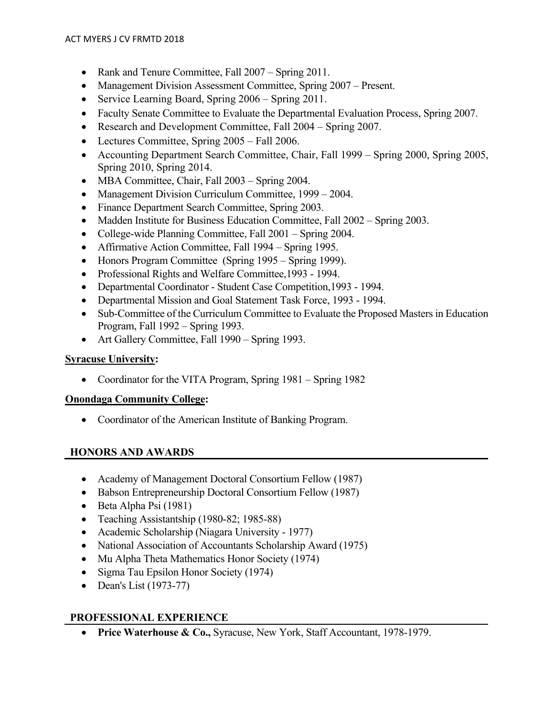- Rank and Tenure Committee, Fall 2007 Spring 2011.
- Management Division Assessment Committee, Spring 2007 Present.
- Service Learning Board, Spring 2006 Spring 2011.
- Faculty Senate Committee to Evaluate the Departmental Evaluation Process, Spring 2007.
- Research and Development Committee, Fall 2004 Spring 2007.
- Lectures Committee, Spring 2005 Fall 2006.
- Accounting Department Search Committee, Chair, Fall 1999 Spring 2000, Spring 2005, Spring 2010, Spring 2014.
- MBA Committee, Chair, Fall 2003 Spring 2004.
- Management Division Curriculum Committee, 1999 2004.
- Finance Department Search Committee, Spring 2003.
- Madden Institute for Business Education Committee, Fall 2002 Spring 2003.
- College-wide Planning Committee, Fall 2001 Spring 2004.
- Affirmative Action Committee, Fall 1994 Spring 1995.
- Honors Program Committee (Spring 1995 Spring 1999).
- Professional Rights and Welfare Committee, 1993 1994.
- Departmental Coordinator Student Case Competition, 1993 1994.
- Departmental Mission and Goal Statement Task Force, 1993 1994.
- Sub-Committee of the Curriculum Committee to Evaluate the Proposed Masters in Education Program, Fall 1992 – Spring 1993.
- Art Gallery Committee, Fall 1990 Spring 1993.

### **Syracuse University:**

• Coordinator for the VITA Program, Spring 1981 – Spring 1982

### **Onondaga Community College:**

• Coordinator of the American Institute of Banking Program.

### **HONORS AND AWARDS**

- Academy of Management Doctoral Consortium Fellow (1987)
- Babson Entrepreneurship Doctoral Consortium Fellow (1987)
- Beta Alpha Psi (1981)
- Teaching Assistantship (1980-82; 1985-88)
- Academic Scholarship (Niagara University 1977)
- National Association of Accountants Scholarship Award (1975)
- Mu Alpha Theta Mathematics Honor Society (1974)
- Sigma Tau Epsilon Honor Society (1974)
- Dean's List (1973-77)

# **PROFESSIONAL EXPERIENCE**

• **Price Waterhouse & Co.,** Syracuse, New York, Staff Accountant, 1978-1979.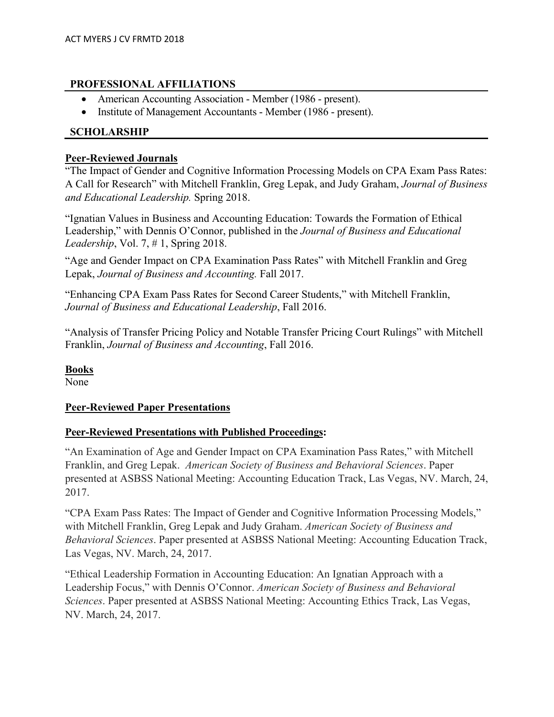### **PROFESSIONAL AFFILIATIONS**

- American Accounting Association Member (1986 present).
- Institute of Management Accountants Member (1986 present).

## **SCHOLARSHIP**

### **Peer-Reviewed Journals**

"The Impact of Gender and Cognitive Information Processing Models on CPA Exam Pass Rates: A Call for Research" with Mitchell Franklin, Greg Lepak, and Judy Graham, *Journal of Business and Educational Leadership.* Spring 2018.

"Ignatian Values in Business and Accounting Education: Towards the Formation of Ethical Leadership," with Dennis O'Connor, published in the *Journal of Business and Educational Leadership*, Vol. 7, # 1, Spring 2018.

"Age and Gender Impact on CPA Examination Pass Rates" with Mitchell Franklin and Greg Lepak, *Journal of Business and Accounting.* Fall 2017.

"Enhancing CPA Exam Pass Rates for Second Career Students," with Mitchell Franklin, *Journal of Business and Educational Leadership*, Fall 2016.

"Analysis of Transfer Pricing Policy and Notable Transfer Pricing Court Rulings" with Mitchell Franklin, *Journal of Business and Accounting*, Fall 2016.

**Books**

None

### **Peer-Reviewed Paper Presentations**

### **Peer-Reviewed Presentations with Published Proceedings:**

"An Examination of Age and Gender Impact on CPA Examination Pass Rates," with Mitchell Franklin, and Greg Lepak. *American Society of Business and Behavioral Sciences*. Paper presented at ASBSS National Meeting: Accounting Education Track, Las Vegas, NV. March, 24, 2017.

"CPA Exam Pass Rates: The Impact of Gender and Cognitive Information Processing Models," with Mitchell Franklin, Greg Lepak and Judy Graham. *American Society of Business and Behavioral Sciences*. Paper presented at ASBSS National Meeting: Accounting Education Track, Las Vegas, NV. March, 24, 2017.

"Ethical Leadership Formation in Accounting Education: An Ignatian Approach with a Leadership Focus," with Dennis O'Connor. *American Society of Business and Behavioral Sciences*. Paper presented at ASBSS National Meeting: Accounting Ethics Track, Las Vegas, NV. March, 24, 2017.